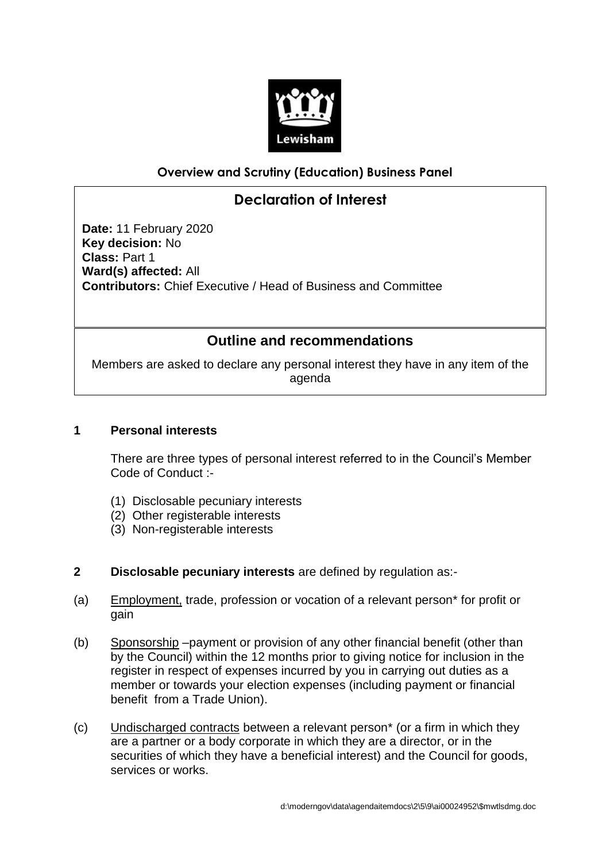

# **Overview and Scrutiny (Education) Business Panel**

# **Declaration of Interest**

**Date:** 11 February 2020 **Key decision:** No **Class:** Part 1 **Ward(s) affected:** All **Contributors:** Chief Executive / Head of Business and Committee

# **Outline and recommendations**

Members are asked to declare any personal interest they have in any item of the agenda

## **1 Personal interests**

There are three types of personal interest referred to in the Council's Member Code of Conduct :-

- (1) Disclosable pecuniary interests
- (2) Other registerable interests
- (3) Non-registerable interests
- **2 Disclosable pecuniary interests** are defined by regulation as:-
- (a) Employment, trade, profession or vocation of a relevant person\* for profit or gain
- (b) Sponsorship –payment or provision of any other financial benefit (other than by the Council) within the 12 months prior to giving notice for inclusion in the register in respect of expenses incurred by you in carrying out duties as a member or towards your election expenses (including payment or financial benefit from a Trade Union).
- (c) Undischarged contracts between a relevant person\* (or a firm in which they are a partner or a body corporate in which they are a director, or in the securities of which they have a beneficial interest) and the Council for goods, services or works.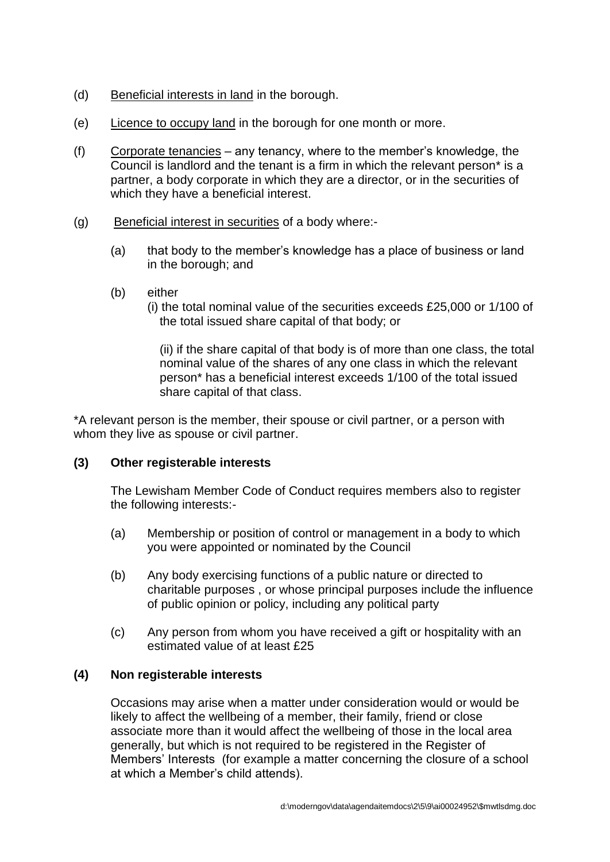- (d) Beneficial interests in land in the borough.
- (e) Licence to occupy land in the borough for one month or more.
- (f) Corporate tenancies any tenancy, where to the member's knowledge, the Council is landlord and the tenant is a firm in which the relevant person\* is a partner, a body corporate in which they are a director, or in the securities of which they have a beneficial interest.
- (g) Beneficial interest in securities of a body where:-
	- (a) that body to the member's knowledge has a place of business or land in the borough; and
	- (b) either
		- (i) the total nominal value of the securities exceeds £25,000 or 1/100 of the total issued share capital of that body; or

(ii) if the share capital of that body is of more than one class, the total nominal value of the shares of any one class in which the relevant person\* has a beneficial interest exceeds 1/100 of the total issued share capital of that class.

\*A relevant person is the member, their spouse or civil partner, or a person with whom they live as spouse or civil partner.

#### **(3) Other registerable interests**

The Lewisham Member Code of Conduct requires members also to register the following interests:-

- (a) Membership or position of control or management in a body to which you were appointed or nominated by the Council
- (b) Any body exercising functions of a public nature or directed to charitable purposes , or whose principal purposes include the influence of public opinion or policy, including any political party
- (c) Any person from whom you have received a gift or hospitality with an estimated value of at least £25

#### **(4) Non registerable interests**

Occasions may arise when a matter under consideration would or would be likely to affect the wellbeing of a member, their family, friend or close associate more than it would affect the wellbeing of those in the local area generally, but which is not required to be registered in the Register of Members' Interests (for example a matter concerning the closure of a school at which a Member's child attends).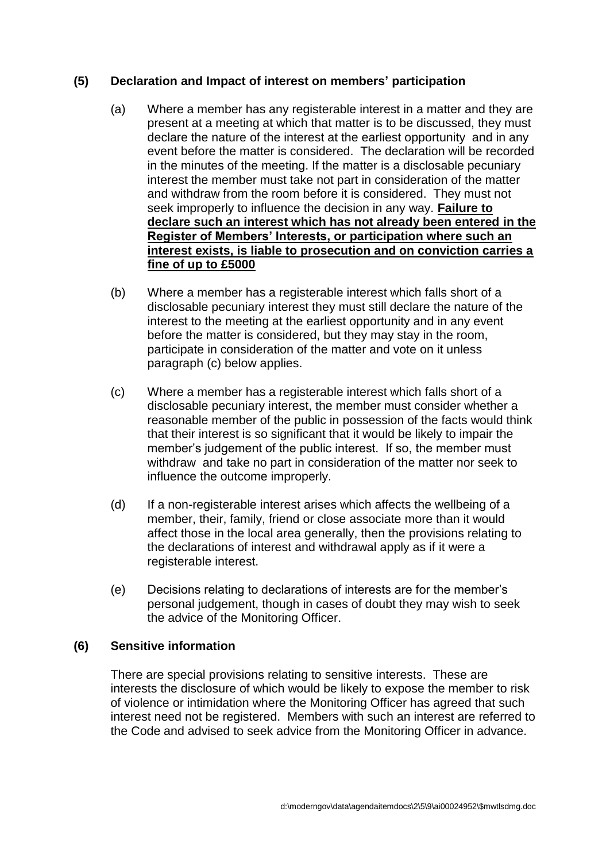## **(5) Declaration and Impact of interest on members' participation**

- (a) Where a member has any registerable interest in a matter and they are present at a meeting at which that matter is to be discussed, they must declare the nature of the interest at the earliest opportunity and in any event before the matter is considered. The declaration will be recorded in the minutes of the meeting. If the matter is a disclosable pecuniary interest the member must take not part in consideration of the matter and withdraw from the room before it is considered. They must not seek improperly to influence the decision in any way. **Failure to declare such an interest which has not already been entered in the Register of Members' Interests, or participation where such an interest exists, is liable to prosecution and on conviction carries a fine of up to £5000**
- (b) Where a member has a registerable interest which falls short of a disclosable pecuniary interest they must still declare the nature of the interest to the meeting at the earliest opportunity and in any event before the matter is considered, but they may stay in the room, participate in consideration of the matter and vote on it unless paragraph (c) below applies.
- (c) Where a member has a registerable interest which falls short of a disclosable pecuniary interest, the member must consider whether a reasonable member of the public in possession of the facts would think that their interest is so significant that it would be likely to impair the member's judgement of the public interest. If so, the member must withdraw and take no part in consideration of the matter nor seek to influence the outcome improperly.
- (d) If a non-registerable interest arises which affects the wellbeing of a member, their, family, friend or close associate more than it would affect those in the local area generally, then the provisions relating to the declarations of interest and withdrawal apply as if it were a registerable interest.
- (e) Decisions relating to declarations of interests are for the member's personal judgement, though in cases of doubt they may wish to seek the advice of the Monitoring Officer.

#### **(6) Sensitive information**

There are special provisions relating to sensitive interests. These are interests the disclosure of which would be likely to expose the member to risk of violence or intimidation where the Monitoring Officer has agreed that such interest need not be registered. Members with such an interest are referred to the Code and advised to seek advice from the Monitoring Officer in advance.